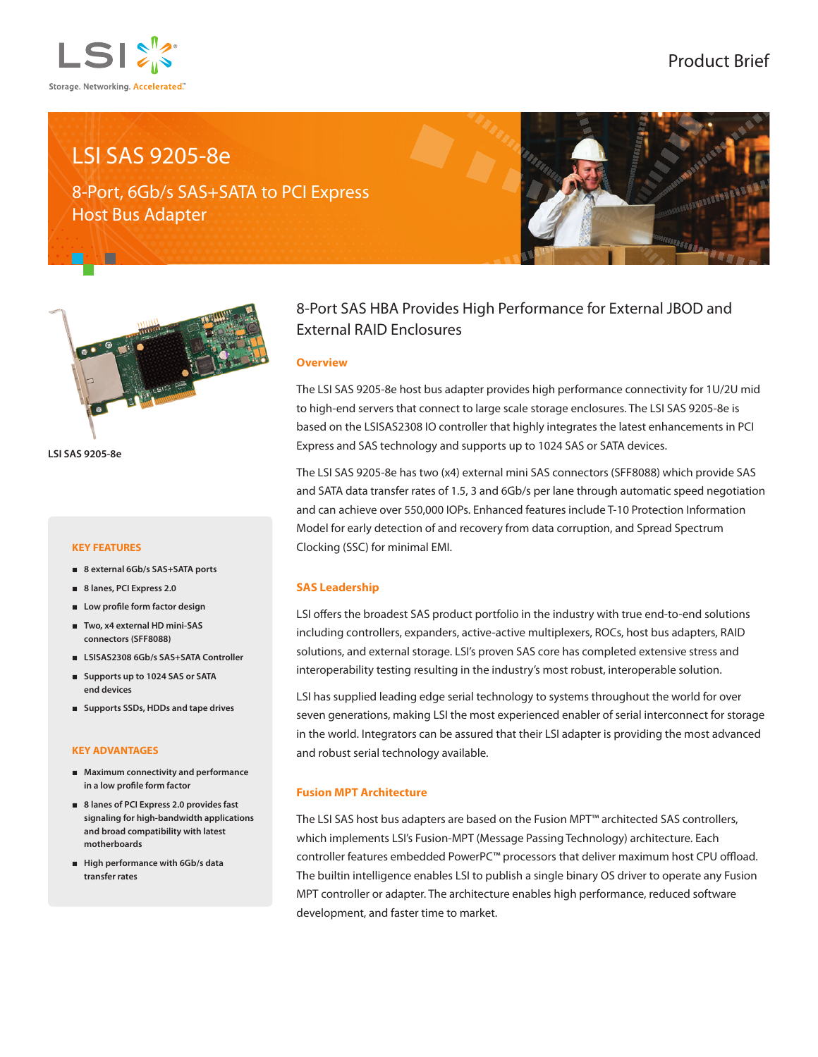

## Product Brief

# LSI SAS 9205-8e

8-Port, 6Gb/s SAS+SATA to PCI Express Host Bus Adapter





**LSI SAS 9205-8e**

### **KEY FEATURES**

- **8 external 6Gb/s SAS+SATA ports**
- **8 lanes, PCI Express 2.0**
- **Low profile form factor design**
- **Two, x4 external HD mini-SAS connectors (SFF8088)**
- **LSISAS2308 6Gb/s SAS+SATA Controller**
- **Supports up to 1024 SAS or SATA end devices**
- **Supports SSDs, HDDs and tape drives**

#### **KEY ADVANTAGES**

- **Maximum connectivity and performance in a low profile form factor**
- **8 lanes of PCI Express 2.0 provides fast signaling for high-bandwidth applications and broad compatibility with latest motherboards**
- **High performance with 6Gb/s data transfer rates**

### 8-Port SAS HBA Provides High Performance for External JBOD and External RAID Enclosures

### **Overview**

The LSI SAS 9205-8e host bus adapter provides high performance connectivity for 1U/2U mid to high-end servers that connect to large scale storage enclosures. The LSI SAS 9205-8e is based on the LSISAS2308 IO controller that highly integrates the latest enhancements in PCI Express and SAS technology and supports up to 1024 SAS or SATA devices.

The LSI SAS 9205-8e has two (x4) external mini SAS connectors (SFF8088) which provide SAS and SATA data transfer rates of 1.5, 3 and 6Gb/s per lane through automatic speed negotiation and can achieve over 550,000 IOPs. Enhanced features include T-10 Protection Information Model for early detection of and recovery from data corruption, and Spread Spectrum Clocking (SSC) for minimal EMI.

### **SAS Leadership**

LSI offers the broadest SAS product portfolio in the industry with true end-to-end solutions including controllers, expanders, active-active multiplexers, ROCs, host bus adapters, RAID solutions, and external storage. LSI's proven SAS core has completed extensive stress and interoperability testing resulting in the industry's most robust, interoperable solution.

LSI has supplied leading edge serial technology to systems throughout the world for over seven generations, making LSI the most experienced enabler of serial interconnect for storage in the world. Integrators can be assured that their LSI adapter is providing the most advanced and robust serial technology available.

### **Fusion MPT Architecture**

The LSI SAS host bus adapters are based on the Fusion MPT™ architected SAS controllers, which implements LSI's Fusion-MPT (Message Passing Technology) architecture. Each controller features embedded PowerPC™ processors that deliver maximum host CPU offload. The builtin intelligence enables LSI to publish a single binary OS driver to operate any Fusion MPT controller or adapter. The architecture enables high performance, reduced software development, and faster time to market.